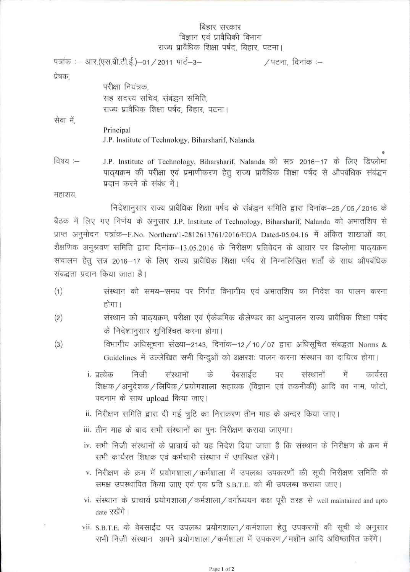## बिहार सरकार विज्ञान एवं प्रावैधिकी विभाग<br>राज्य प्रावैधिक शिक्षा पर्षद, बिहार, पटना।

|           | पत्रांक :– आर.(एस.बी.टी.ई.)–01 / 2011 पार्ट–3–                                           | /पटना, दिनांक :– |  |  |
|-----------|------------------------------------------------------------------------------------------|------------------|--|--|
| प्रेषक,   |                                                                                          |                  |  |  |
|           | परीक्षा नियंत्रक,                                                                        |                  |  |  |
|           | सह सदस्य सचिव, संबंद्धन समिति,                                                           |                  |  |  |
|           | राज्य प्रावैधिक शिक्षा पर्षद, बिहार, पटना।                                               |                  |  |  |
| सेवा में, |                                                                                          |                  |  |  |
|           | Principal                                                                                |                  |  |  |
|           | J.P. Institute of Technology, Biharsharif, Nalanda                                       |                  |  |  |
|           |                                                                                          |                  |  |  |
| विषय :—   | J.P. Institute of Technology, Biharsharif, Nalanda को सत्र 2016-17 के लिए डिप्लोमा       |                  |  |  |
|           | पाठ्यक्रम की परीक्षा एवं प्रमाणीकरण हेतु राज्य प्रावैधिक शिक्षा पर्षद से औपबंधिक संबद्धन |                  |  |  |
|           | प्रदान करने के संबंध में।                                                                |                  |  |  |

महाशय,

निदेशानुसार राज्य प्रावैधिक शिक्षा पर्षद के संबंद्धन समिति द्वारा दिनांक-25/05/2016 के बैठक में लिए गए निर्णय के अनुसार J.P. Institute of Technology, Biharsharif, Nalanda को अभातशिप से प्राप्त अनुमोदन पत्रांक-F.No. Northern/1-2812613761/2016/EOA Dated-05.04.16 में अंकित शाखाओं का, शैक्षणिक अनुश्रवण समिति द्वारा दिनांक-13.05.2016 के निरीक्षण प्रतिवेदन के आधार पर डिप्लोमा पाठ्यक्रम संचालन हेतु सत्र 2016-17 के लिए राज्य प्रावैधिक शिक्षा पर्षद से निम्नलिखित शर्तों के साथ औपबंधिक संबद्धता प्रदान किया जाता है।

- (1) व्यास्थान को समय-समय पर निर्गत विभागीय एवं अभातशिप का निदेश का पालन करना होगा।
- (2) व्यांस्थान को पाठ्यक्रम, परीक्षा एवं ऐकेडमिक कैलेण्डर का अनुपालन राज्य प्रावैधिक शिक्षा पर्षद  $\dot{\varphi}$  निदेशानुसार सुनिश्चित करना होगा।
- $(3)$  fahing and  $\frac{1}{2}$  of  $\frac{1}{2}$  and  $\frac{1}{2}$  and  $\frac{1}{2}$  and  $\frac{1}{2}$  and  $\frac{1}{2}$  and  $\frac{1}{2}$  and  $\frac{1}{2}$  and  $\frac{1}{2}$  and  $\frac{1}{2}$  and  $\frac{1}{2}$  and  $\frac{1}{2}$  and  $\frac{1}{2}$  and  $\frac{1}{2}$  and  $\frac{1}{2}$ Guidelines में उल्लेखित सभी बिन्दुओं को अक्षरशः पालन करना संस्थान का दायित्व होगा।
	- i. प्रत्येक निजी संस्थानों के वेबसाईट पर संस्थानों में कार्यरत् शिक्षक / अनुदेशक / लिपिक / प्रयोगशाला सहायक (विज्ञान एवं तकनीकी) आदि का नाम, फोटो, पदनाम के साथ upload किया जाए।
	- ii. निरीक्षण समिति द्वारा दी गई त्रुटि का निराकरण तीन माह के अन्दर किया जाए।
	- iii. तीन माह के बाद सभी संस्थानों का पूनः निरीक्षण कराया जाएगा।
	- iv. सभी निजी संस्थानों के प्राचार्य को यह निदेश दिया जाता है कि संस्थान के निरीक्षण के क्रम में सभी कार्यरत शिक्षक एवं कर्मचारी संस्थान में उपस्थित रहेंगे।
	- $v$ . निरीक्षण के क्रम में प्रयोगशाला / कर्मशाला में उपलब्ध उपकरणों की सूची निरीक्षण समिति के समक्ष उपस्थापित किया जाए एवं एक प्रति S.B.T.E. को भी उपलब्ध कराया जाए।
	- vi. संस्थान के प्राचार्य प्रयोगशाला/ कर्मशाला/ वर्गाध्ययन कक्ष पूरी तरह से well maintained and upto date रखेंगे।
	- vii. S.B.T.E. के वेबसाईट पर उपलब्ध प्रयोगशाला/कर्मशाला हेतु उपकरणों की सूची के अनुसार सभी निजी संस्थान अपने प्रयोगशाला/कर्मशाला में उपकरण/मशीन आदि अधिष्ठापित करेंगे।